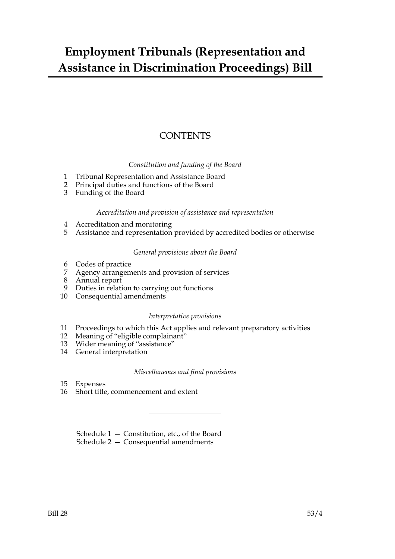## **Employment Tribunals (Representation and Assistance in Discrimination Proceedings) Bill**

### **CONTENTS**

#### *Constitution and funding of the Board*

- 1 Tribunal Representation and Assistance Board
- 2 Principal duties and functions of the Board
- 3 Funding of the Board

#### *Accreditation and provision of assistance and representation*

- 4 Accreditation and monitoring
- 5 Assistance and representation provided by accredited bodies or otherwise

#### *General provisions about the Board*

- 6 Codes of practice
- 7 Agency arrangements and provision of services
- 8 Annual report
- 9 Duties in relation to carrying out functions
- 10 Consequential amendments

#### *Interpretative provisions*

- 11 Proceedings to which this Act applies and relevant preparatory activities
- 12 Meaning of "eligible complainant"
- 13 Wider meaning of "assistance"
- 14 General interpretation

#### *Miscellaneous and final provisions*

- 15 Expenses
- 16 Short title, commencement and extent

Schedule 1 — Constitution, etc., of the Board

Schedule 2 — Consequential amendments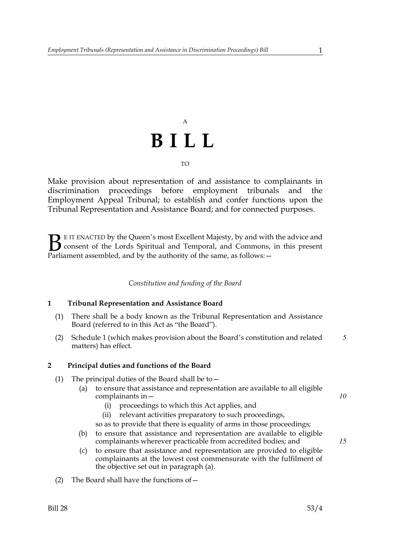# A **BILL**

TO

Make provision about representation of and assistance to complainants in discrimination proceedings before employment tribunals and the Employment Appeal Tribunal; to establish and confer functions upon the Tribunal Representation and Assistance Board; and for connected purposes.

E IT ENACTED by the Queen's most Excellent Majesty, by and with the advice and consent of the Lords Spiritual and Temporal, and Commons, in this present Parliament assembled, and by the authority of the same, as follows: - $\mathbf{B}_{\text{rel}}$ 

#### *Constitution and funding of the Board*

#### **1 Tribunal Representation and Assistance Board**

- (1) There shall be a body known as the Tribunal Representation and Assistance Board (referred to in this Act as "the Board").
- (2) Schedule 1 (which makes provision about the Board's constitution and related matters) has effect. *5*

#### **2 Principal duties and functions of the Board**

- (1) The principal duties of the Board shall be to  $-$ 
	- (a) to ensure that assistance and representation are available to all eligible complainants in—
		- (i) proceedings to which this Act applies, and
		- (ii) relevant activities preparatory to such proceedings,
		- so as to provide that there is equality of arms in those proceedings;
	- (b) to ensure that assistance and representation are available to eligible complainants wherever practicable from accredited bodies; and
	- (c) to ensure that assistance and representation are provided to eligible complainants at the lowest cost commensurate with the fulfilment of the objective set out in paragraph (a).
- (2) The Board shall have the functions of  $-$

*10*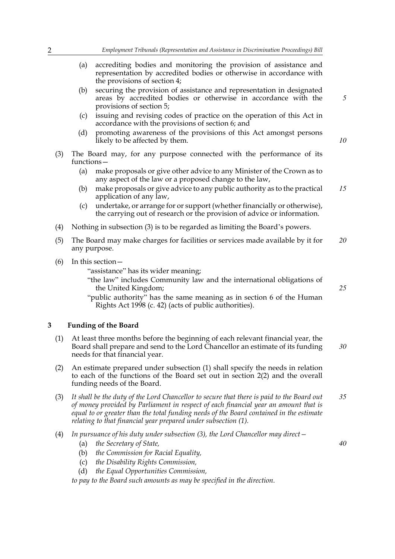- (a) accrediting bodies and monitoring the provision of assistance and representation by accredited bodies or otherwise in accordance with the provisions of section 4;
- (b) securing the provision of assistance and representation in designated areas by accredited bodies or otherwise in accordance with the provisions of section 5;
- (c) issuing and revising codes of practice on the operation of this Act in accordance with the provisions of section 6; and
- (d) promoting awareness of the provisions of this Act amongst persons likely to be affected by them.
- (3) The Board may, for any purpose connected with the performance of its functions—
	- (a) make proposals or give other advice to any Minister of the Crown as to any aspect of the law or a proposed change to the law,
	- (b) make proposals or give advice to any public authority as to the practical application of any law, *15*
	- (c) undertake, or arrange for or support (whether financially or otherwise), the carrying out of research or the provision of advice or information.
- (4) Nothing in subsection (3) is to be regarded as limiting the Board's powers.
- (5) The Board may make charges for facilities or services made available by it for any purpose. *20*
- (6) In this section—

"assistance" has its wider meaning;

- "the law" includes Community law and the international obligations of the United Kingdom;
- "public authority" has the same meaning as in section 6 of the Human Rights Act 1998 (c. 42) (acts of public authorities).

#### **3 Funding of the Board**

- (1) At least three months before the beginning of each relevant financial year, the Board shall prepare and send to the Lord Chancellor an estimate of its funding needs for that financial year. *30*
- (2) An estimate prepared under subsection (1) shall specify the needs in relation to each of the functions of the Board set out in section 2(2) and the overall funding needs of the Board.
- (3) *It shall be the duty of the Lord Chancellor to secure that there is paid to the Board out of money provided by Parliament in respect of each financial year an amount that is equal to or greater than the total funding needs of the Board contained in the estimate relating to that financial year prepared under subsection (1). 35*
- (4) *In pursuance of his duty under subsection (3), the Lord Chancellor may direct—*
	- (a) *the Secretary of State,*
	- (b) *the Commission for Racial Equality,*
	- (c) *the Disability Rights Commission,*
	- (d) *the Equal Opportunities Commission,*

*to pay to the Board such amounts as may be specified in the direction.*

*40*

*25*

*5*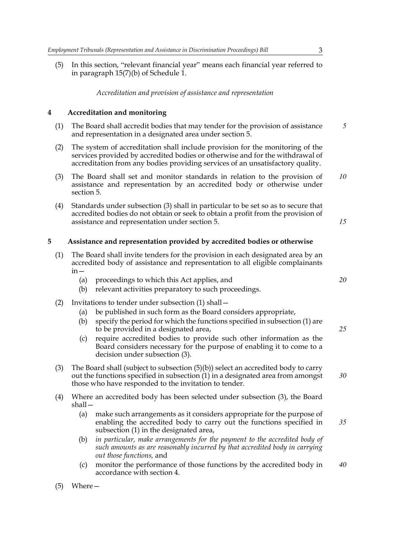(5) In this section, "relevant financial year" means each financial year referred to in paragraph 15(7)(b) of Schedule 1.

#### *Accreditation and provision of assistance and representation*

#### **4 Accreditation and monitoring**

- (1) The Board shall accredit bodies that may tender for the provision of assistance and representation in a designated area under section 5. *5*
- (2) The system of accreditation shall include provision for the monitoring of the services provided by accredited bodies or otherwise and for the withdrawal of accreditation from any bodies providing services of an unsatisfactory quality.
- (3) The Board shall set and monitor standards in relation to the provision of assistance and representation by an accredited body or otherwise under section 5. *10*
- (4) Standards under subsection (3) shall in particular to be set so as to secure that accredited bodies do not obtain or seek to obtain a profit from the provision of assistance and representation under section 5.

#### **5 Assistance and representation provided by accredited bodies or otherwise**

- (1) The Board shall invite tenders for the provision in each designated area by an accredited body of assistance and representation to all eligible complainants  $in -$ 
	- (a) proceedings to which this Act applies, and
	- (b) relevant activities preparatory to such proceedings.
- (2) Invitations to tender under subsection (1) shall—
	- (a) be published in such form as the Board considers appropriate,
	- (b) specify the period for which the functions specified in subsection (1) are to be provided in a designated area,
	- (c) require accredited bodies to provide such other information as the Board considers necessary for the purpose of enabling it to come to a decision under subsection (3).
- (3) The Board shall (subject to subsection (5)(b)) select an accredited body to carry out the functions specified in subsection (1) in a designated area from amongst those who have responded to the invitation to tender.
- (4) Where an accredited body has been selected under subsection (3), the Board shall—
	- (a) make such arrangements as it considers appropriate for the purpose of enabling the accredited body to carry out the functions specified in subsection (1) in the designated area, *35*
	- (b) *in particular, make arrangements for the payment to the accredited body of such amounts as are reasonably incurred by that accredited body in carrying out those functions,* and
	- (c) monitor the performance of those functions by the accredited body in accordance with section 4. *40*

*20*

*15*

*25*

*30*

(5) Where—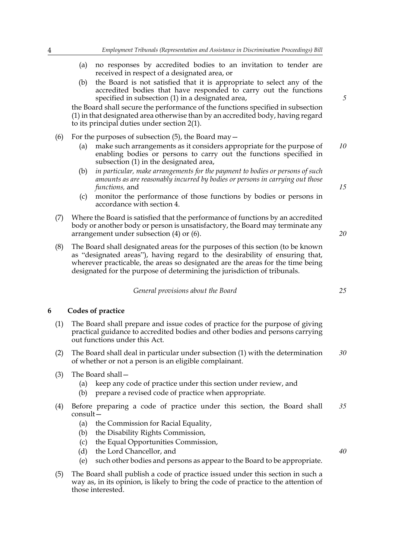- (a) no responses by accredited bodies to an invitation to tender are received in respect of a designated area, or
- (b) the Board is not satisfied that it is appropriate to select any of the accredited bodies that have responded to carry out the functions specified in subsection (1) in a designated area,

the Board shall secure the performance of the functions specified in subsection (1) in that designated area otherwise than by an accredited body, having regard to its principal duties under section 2(1).

- (6) For the purposes of subsection  $(5)$ , the Board may  $-$ 
	- (a) make such arrangements as it considers appropriate for the purpose of enabling bodies or persons to carry out the functions specified in subsection (1) in the designated area, *10*
	- (b) *in particular, make arrangements for the payment to bodies or persons of such amounts as are reasonably incurred by bodies or persons in carrying out those functions,* and
	- (c) monitor the performance of those functions by bodies or persons in accordance with section 4.
- (7) Where the Board is satisfied that the performance of functions by an accredited body or another body or person is unsatisfactory, the Board may terminate any arrangement under subsection (4) or (6).
- (8) The Board shall designated areas for the purposes of this section (to be known as "designated areas"), having regard to the desirability of ensuring that, wherever practicable, the areas so designated are the areas for the time being designated for the purpose of determining the jurisdiction of tribunals.

*General provisions about the Board*

#### **6 Codes of practice**

- (1) The Board shall prepare and issue codes of practice for the purpose of giving practical guidance to accredited bodies and other bodies and persons carrying out functions under this Act.
- (2) The Board shall deal in particular under subsection (1) with the determination of whether or not a person is an eligible complainant. *30*
- (3) The Board shall—
	- (a) keep any code of practice under this section under review, and
	- (b) prepare a revised code of practice when appropriate.
- (4) Before preparing a code of practice under this section, the Board shall consult— *35*
	- (a) the Commission for Racial Equality,
	- (b) the Disability Rights Commission,
	- (c) the Equal Opportunities Commission,
	- (d) the Lord Chancellor, and
	- (e) such other bodies and persons as appear to the Board to be appropriate.
- (5) The Board shall publish a code of practice issued under this section in such a way as, in its opinion, is likely to bring the code of practice to the attention of those interested.

*5*

*15*

*20*

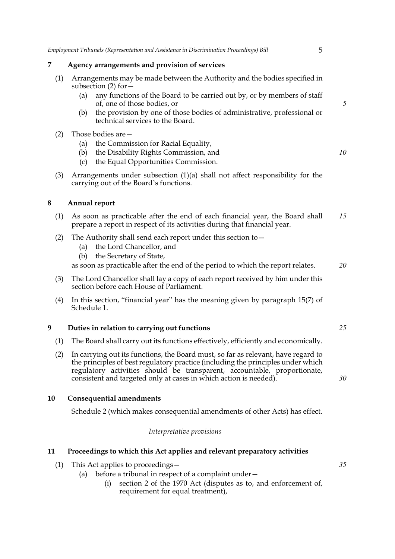| 7   | Agency arrangements and provision of services                                                                                                             |
|-----|-----------------------------------------------------------------------------------------------------------------------------------------------------------|
| (1) | Arrangements may be made between the Authority and the bodies specified in<br>subsection $(2)$ for $-$                                                    |
|     | any functions of the Board to be carried out by, or by members of staff<br>(a)<br>of, one of those bodies, or                                             |
|     | the provision by one of those bodies of administrative, professional or<br>(b)<br>technical services to the Board.                                        |
| (2) | Those bodies are -                                                                                                                                        |
|     | the Commission for Racial Equality,<br>(a)                                                                                                                |
|     | the Disability Rights Commission, and<br>(b)                                                                                                              |
|     | the Equal Opportunities Commission.<br>(c)                                                                                                                |
| (3) | Arrangements under subsection $(1)(a)$ shall not affect responsibility for the<br>carrying out of the Board's functions.                                  |
| 8   | <b>Annual report</b>                                                                                                                                      |
| (1) | As soon as practicable after the end of each financial year, the Board shall<br>prepare a report in respect of its activities during that financial year. |
| (2) | The Authority shall send each report under this section to $-$<br>the Lord Chancellor, and<br>(a)                                                         |
|     | the Secretary of State,<br>(b)                                                                                                                            |
|     | as soon as practicable after the end of the period to which the report relates.                                                                           |
| (3) | The Lord Chancellor shall lay a copy of each report received by him under this<br>section before each House of Parliament.                                |
| (4) | In this section, "financial year" has the meaning given by paragraph 15(7) of<br>Schedule 1.                                                              |
| 9   | Duties in relation to carrying out functions                                                                                                              |
| (1) | The Board shall carry out its functions effectively, efficiently and economically.                                                                        |
|     |                                                                                                                                                           |

(2) In carrying out its functions, the Board must, so far as relevant, have regard to the principles of best regulatory practice (including the principles under which regulatory activities should be transparent, accountable, proportionate, consistent and targeted only at cases in which action is needed).

#### **10 Consequential amendments**

Schedule 2 (which makes consequential amendments of other Acts) has effect.

#### *Interpretative provisions*

#### **11 Proceedings to which this Act applies and relevant preparatory activities**

- (1) This Act applies to proceedings—
	- (a) before a tribunal in respect of a complaint under—
		- (i) section 2 of the 1970 Act (disputes as to, and enforcement of, requirement for equal treatment),

*30*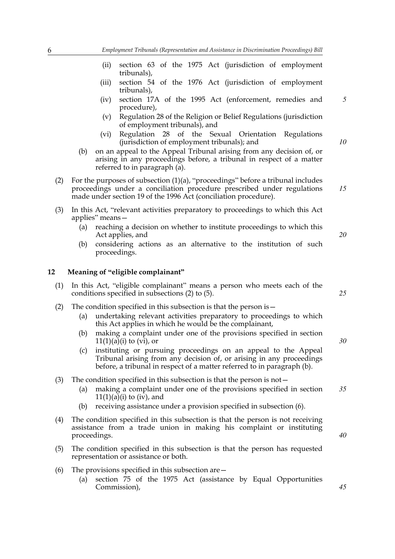- (ii) section 63 of the 1975 Act (jurisdiction of employment tribunals),
- (iii) section 54 of the 1976 Act (jurisdiction of employment tribunals),
- (iv) section 17A of the 1995 Act (enforcement, remedies and procedure), *5*
- (v) Regulation 28 of the Religion or Belief Regulations (jurisdiction of employment tribunals), and
- (vi) Regulation 28 of the Sexual Orientation Regulations (jurisdiction of employment tribunals); and
- (b) on an appeal to the Appeal Tribunal arising from any decision of, or arising in any proceedings before, a tribunal in respect of a matter referred to in paragraph (a).
- (2) For the purposes of subsection (1)(a), "proceedings" before a tribunal includes proceedings under a conciliation procedure prescribed under regulations made under section 19 of the 1996 Act (conciliation procedure).
- (3) In this Act, "relevant activities preparatory to proceedings to which this Act applies" means—
	- (a) reaching a decision on whether to institute proceedings to which this Act applies, and
	- (b) considering actions as an alternative to the institution of such proceedings.

#### **12 Meaning of "eligible complainant"**

- (1) In this Act, "eligible complainant" means a person who meets each of the conditions specified in subsections (2) to (5).
- (2) The condition specified in this subsection is that the person is  $-$ 
	- (a) undertaking relevant activities preparatory to proceedings to which this Act applies in which he would be the complainant,
	- (b) making a complaint under one of the provisions specified in section  $11(1)(a)(i)$  to  $(vi)$ , or
	- (c) instituting or pursuing proceedings on an appeal to the Appeal Tribunal arising from any decision of, or arising in any proceedings before, a tribunal in respect of a matter referred to in paragraph (b).
- (3) The condition specified in this subsection is that the person is not—
	- (a) making a complaint under one of the provisions specified in section  $11(1)(a)(i)$  to (iv), and *35*
	- (b) receiving assistance under a provision specified in subsection (6).
- (4) The condition specified in this subsection is that the person is not receiving assistance from a trade union in making his complaint or instituting proceedings.
- (5) The condition specified in this subsection is that the person has requested representation or assistance or both.
- (6) The provisions specified in this subsection are—
	- (a) section 75 of the 1975 Act (assistance by Equal Opportunities Commission),

*20*

*10*

*15*

*25*

*30*

*40*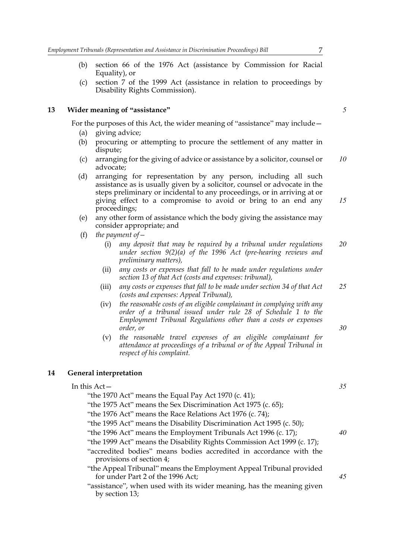- (b) section 66 of the 1976 Act (assistance by Commission for Racial Equality), or
- (c) section 7 of the 1999 Act (assistance in relation to proceedings by Disability Rights Commission).

#### **13 Wider meaning of "assistance"**

For the purposes of this Act, the wider meaning of "assistance" may include—

- (a) giving advice;
- (b) procuring or attempting to procure the settlement of any matter in dispute;
- (c) arranging for the giving of advice or assistance by a solicitor, counsel or advocate; *10*
- (d) arranging for representation by any person, including all such assistance as is usually given by a solicitor, counsel or advocate in the steps preliminary or incidental to any proceedings, or in arriving at or giving effect to a compromise to avoid or bring to an end any proceedings; *15*
- (e) any other form of assistance which the body giving the assistance may consider appropriate; and
- (f) *the payment of—*
	- (i) *any deposit that may be required by a tribunal under regulations under section 9(2)(a) of the 1996 Act (pre-hearing reviews and preliminary matters), 20*
	- (ii) *any costs or expenses that fall to be made under regulations under section 13 of that Act (costs and expenses: tribunal),*
	- (iii) *any costs or expenses that fall to be made under section 34 of that Act (costs and expenses: Appeal Tribunal), 25*
	- (iv) *the reasonable costs of an eligible complainant in complying with any order of a tribunal issued under rule 28 of Schedule 1 to the Employment Tribunal Regulations other than a costs or expenses order, or*
	- (v) *the reasonable travel expenses of an eligible complainant for attendance at proceedings of a tribunal or of the Appeal Tribunal in respect of his complaint.*

#### **14 General interpretation**

by section 13;

| In this $Act-$                                                                                           | 35 |
|----------------------------------------------------------------------------------------------------------|----|
| "the 1970 Act" means the Equal Pay Act 1970 (c. 41);                                                     |    |
| "the 1975 Act" means the Sex Discrimination Act 1975 (c. 65);                                            |    |
| "the 1976 Act" means the Race Relations Act 1976 (c. 74);                                                |    |
| "the 1995 Act" means the Disability Discrimination Act 1995 (c. 50);                                     |    |
| "the 1996 Act" means the Employment Tribunals Act 1996 (c. 17);                                          | 40 |
| "the 1999 Act" means the Disability Rights Commission Act 1999 (c. 17);                                  |    |
| "accredited bodies" means bodies accredited in accordance with the<br>provisions of section 4;           |    |
| "the Appeal Tribunal" means the Employment Appeal Tribunal provided<br>for under Part 2 of the 1996 Act; | 45 |
| "assistance", when used with its wider meaning, has the meaning given                                    |    |

*5*

*35*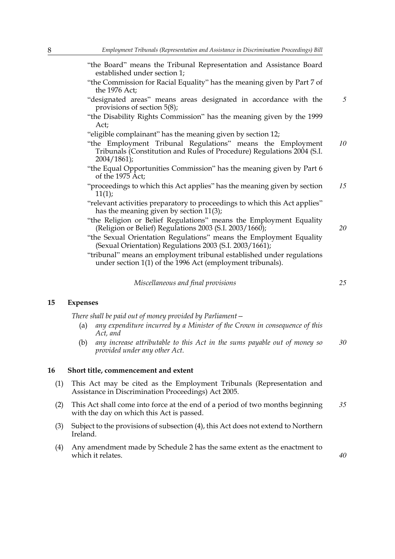- "the Board" means the Tribunal Representation and Assistance Board established under section 1;
- "the Commission for Racial Equality" has the meaning given by Part 7 of the 1976 Act;
- "designated areas" means areas designated in accordance with the provisions of section 5(8); *5*
- "the Disability Rights Commission" has the meaning given by the 1999 Act;
- "eligible complainant" has the meaning given by section 12;
- "the Employment Tribunal Regulations" means the Employment Tribunals (Constitution and Rules of Procedure) Regulations 2004 (S.I. 2004/1861); *10*
- "the Equal Opportunities Commission" has the meaning given by Part 6 of the 1975 Act;
- "proceedings to which this Act applies" has the meaning given by section  $11(1);$ *15*
- "relevant activities preparatory to proceedings to which this Act applies" has the meaning given by section 11(3);
- "the Religion or Belief Regulations" means the Employment Equality (Religion or Belief) Regulations 2003 (S.I. 2003/1660);
- "the Sexual Orientation Regulations" means the Employment Equality (Sexual Orientation) Regulations 2003 (S.I. 2003/1661);
- "tribunal" means an employment tribunal established under regulations under section 1(1) of the 1996 Act (employment tribunals).

*Miscellaneous and final provisions*

#### **15 Expenses**

*There shall be paid out of money provided by Parliament—*

- (a) *any expenditure incurred by a Minister of the Crown in consequence of this Act, and*
- (b) *any increase attributable to this Act in the sums payable out of money so provided under any other Act. 30*

#### **16 Short title, commencement and extent**

- (1) This Act may be cited as the Employment Tribunals (Representation and Assistance in Discrimination Proceedings) Act 2005.
- (2) This Act shall come into force at the end of a period of two months beginning with the day on which this Act is passed. *35*
- (3) Subject to the provisions of subsection (4), this Act does not extend to Northern Ireland.
- (4) Any amendment made by Schedule 2 has the same extent as the enactment to which it relates.

*20*

*25*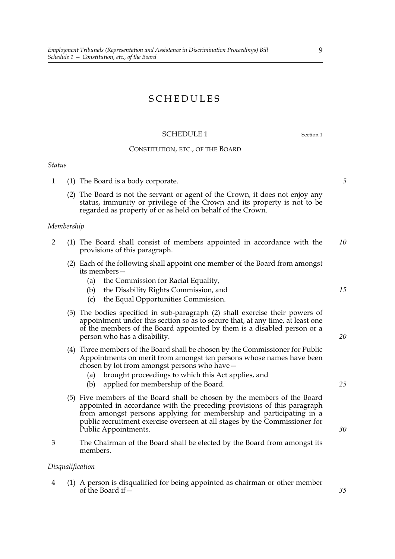#### SCHEDULES

#### SCHEDULE 1 Section 1

#### CONSTITUTION, ETC., OF THE BOARD

#### *Status*

- 1 (1) The Board is a body corporate.
	- (2) The Board is not the servant or agent of the Crown, it does not enjoy any status, immunity or privilege of the Crown and its property is not to be regarded as property of or as held on behalf of the Crown.

#### *Membership*

- 2 (1) The Board shall consist of members appointed in accordance with the provisions of this paragraph. *10*
	- (2) Each of the following shall appoint one member of the Board from amongst its members—
		- (a) the Commission for Racial Equality,
		- (b) the Disability Rights Commission, and
		- (c) the Equal Opportunities Commission.
	- (3) The bodies specified in sub-paragraph (2) shall exercise their powers of appointment under this section so as to secure that, at any time, at least one of the members of the Board appointed by them is a disabled person or a person who has a disability.
	- (4) Three members of the Board shall be chosen by the Commissioner for Public Appointments on merit from amongst ten persons whose names have been chosen by lot from amongst persons who have—
		- (a) brought proceedings to which this Act applies, and
		- (b) applied for membership of the Board.
	- (5) Five members of the Board shall be chosen by the members of the Board appointed in accordance with the preceding provisions of this paragraph from amongst persons applying for membership and participating in a public recruitment exercise overseen at all stages by the Commissioner for Public Appointments.
- 3 The Chairman of the Board shall be elected by the Board from amongst its members.

#### *Disqualification*

4 (1) A person is disqualified for being appointed as chairman or other member of the Board if  $-\frac{1}{2}$ 

*5*

*15*

*25*

*30*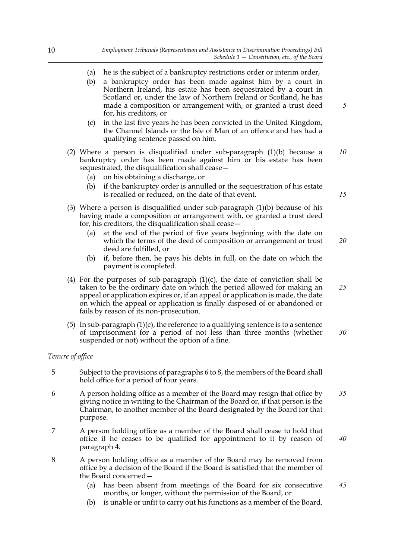- (a) he is the subject of a bankruptcy restrictions order or interim order,
- (b) a bankruptcy order has been made against him by a court in Northern Ireland, his estate has been sequestrated by a court in Scotland or, under the law of Northern Ireland or Scotland, he has made a composition or arrangement with, or granted a trust deed for, his creditors, or
- (c) in the last five years he has been convicted in the United Kingdom, the Channel Islands or the Isle of Man of an offence and has had a qualifying sentence passed on him.
- (2) Where a person is disqualified under sub-paragraph (1)(b) because a bankruptcy order has been made against him or his estate has been sequestrated, the disqualification shall cease— *10*
	- (a) on his obtaining a discharge, or
	- (b) if the bankruptcy order is annulled or the sequestration of his estate is recalled or reduced, on the date of that event.
- (3) Where a person is disqualified under sub-paragraph (1)(b) because of his having made a composition or arrangement with, or granted a trust deed for, his creditors, the disqualification shall cease—
	- (a) at the end of the period of five years beginning with the date on which the terms of the deed of composition or arrangement or trust deed are fulfilled, or *20*
	- (b) if, before then, he pays his debts in full, on the date on which the payment is completed.
- (4) For the purposes of sub-paragraph  $(1)(c)$ , the date of conviction shall be taken to be the ordinary date on which the period allowed for making an appeal or application expires or, if an appeal or application is made, the date on which the appeal or application is finally disposed of or abandoned or fails by reason of its non-prosecution. *25*
- (5) In sub-paragraph  $(1)(c)$ , the reference to a qualifying sentence is to a sentence of imprisonment for a period of not less than three months (whether suspended or not) without the option of a fine. *30*

#### *Tenure of office*

- 5 Subject to the provisions of paragraphs 6 to 8, the members of the Board shall hold office for a period of four years.
- 6 A person holding office as a member of the Board may resign that office by giving notice in writing to the Chairman of the Board or, if that person is the Chairman, to another member of the Board designated by the Board for that purpose. *35*
- 7 A person holding office as a member of the Board shall cease to hold that office if he ceases to be qualified for appointment to it by reason of paragraph 4. *40*
- 8 A person holding office as a member of the Board may be removed from office by a decision of the Board if the Board is satisfied that the member of the Board concerned—
	- (a) has been absent from meetings of the Board for six consecutive months, or longer, without the permission of the Board, or *45*
	- (b) is unable or unfit to carry out his functions as a member of the Board.

*15*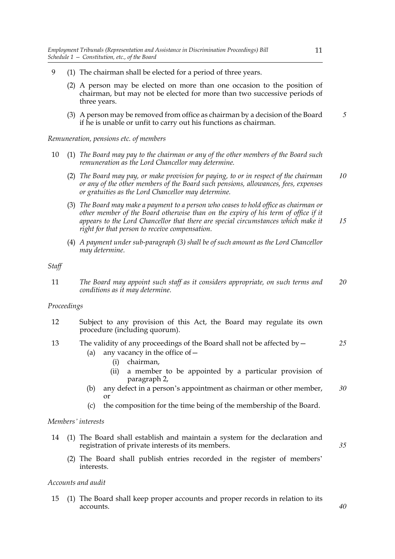- 9 (1) The chairman shall be elected for a period of three years.
	- (2) A person may be elected on more than one occasion to the position of chairman, but may not be elected for more than two successive periods of three years.
	- (3) A person may be removed from office as chairman by a decision of the Board if he is unable or unfit to carry out his functions as chairman. *5*

*Remuneration, pensions etc. of members*

- 10 (1) *The Board may pay to the chairman or any of the other members of the Board such remuneration as the Lord Chancellor may determine.*
	- (2) *The Board may pay, or make provision for paying, to or in respect of the chairman or any of the other members of the Board such pensions, allowances, fees, expenses or gratuities as the Lord Chancellor may determine. 10*
	- (3) *The Board may make a payment to a person who ceases to hold office as chairman or other member of the Board otherwise than on the expiry of his term of office if it appears to the Lord Chancellor that there are special circumstances which make it right for that person to receive compensation. 15*
	- (4) *A payment under sub-paragraph (3) shall be of such amount as the Lord Chancellor may determine.*

*Staff*

11 *The Board may appoint such staff as it considers appropriate, on such terms and conditions as it may determine. 20*

#### *Proceedings*

- 12 Subject to any provision of this Act, the Board may regulate its own procedure (including quorum).
- 13 The validity of any proceedings of the Board shall not be affected by— *25*
	- (a) any vacancy in the office of  $-$ 
		- (i) chairman,
		- (ii) a member to be appointed by a particular provision of paragraph 2,
	- (b) any defect in a person's appointment as chairman or other member, or *30*
	- (c) the composition for the time being of the membership of the Board.

#### *Members' interests*

- 14 (1) The Board shall establish and maintain a system for the declaration and registration of private interests of its members.
	- (2) The Board shall publish entries recorded in the register of members' interests.

#### *Accounts and audit*

15 (1) The Board shall keep proper accounts and proper records in relation to its accounts.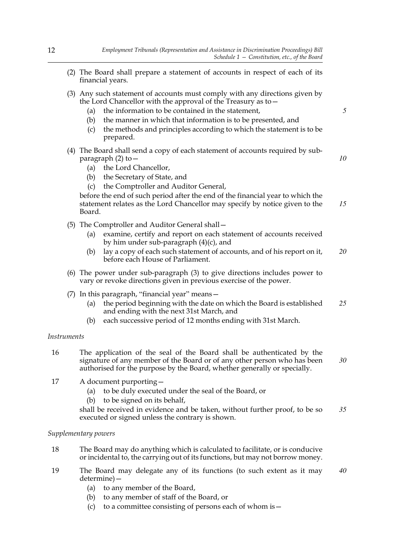- (2) The Board shall prepare a statement of accounts in respect of each of its financial years.
- (3) Any such statement of accounts must comply with any directions given by the Lord Chancellor with the approval of the Treasury as to—
	- (a) the information to be contained in the statement,
	- (b) the manner in which that information is to be presented, and
	- (c) the methods and principles according to which the statement is to be prepared.
- (4) The Board shall send a copy of each statement of accounts required by subparagraph  $(2)$  to  $-$ 
	- (a) the Lord Chancellor,
	- (b) the Secretary of State, and
	- (c) the Comptroller and Auditor General,

before the end of such period after the end of the financial year to which the statement relates as the Lord Chancellor may specify by notice given to the Board. *15*

- (5) The Comptroller and Auditor General shall—
	- (a) examine, certify and report on each statement of accounts received by him under sub-paragraph (4)(c), and
	- (b) lay a copy of each such statement of accounts, and of his report on it, before each House of Parliament. *20*
- (6) The power under sub-paragraph (3) to give directions includes power to vary or revoke directions given in previous exercise of the power.
- (7) In this paragraph, "financial year" means—
	- (a) the period beginning with the date on which the Board is established and ending with the next 31st March, and *25*
	- (b) each successive period of 12 months ending with 31st March.

#### *Instruments*

- 16 The application of the seal of the Board shall be authenticated by the signature of any member of the Board or of any other person who has been authorised for the purpose by the Board, whether generally or specially. *30*
- 17 A document purporting—
	- (a) to be duly executed under the seal of the Board, or
	- (b) to be signed on its behalf,

shall be received in evidence and be taken, without further proof, to be so executed or signed unless the contrary is shown. *35*

#### *Supplementary powers*

- 18 The Board may do anything which is calculated to facilitate, or is conducive or incidental to, the carrying out of its functions, but may not borrow money.
- 19 The Board may delegate any of its functions (to such extent as it may determine)— *40*
	- (a) to any member of the Board,
	- (b) to any member of staff of the Board, or
	- (c) to a committee consisting of persons each of whom is  $-$

*10*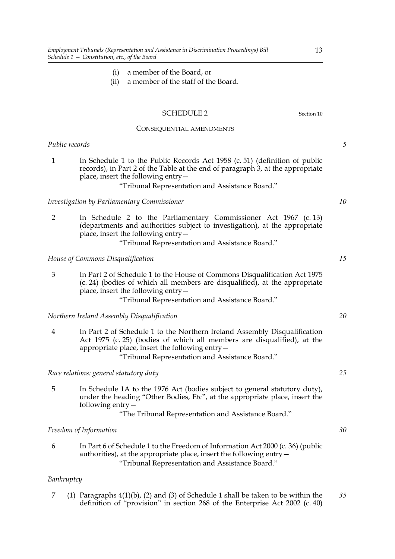- (i) a member of the Board, or
- (ii) a member of the staff of the Board.

#### SCHEDULE 2 Section 10

#### CONSEQUENTIAL AMENDMENTS

#### *Public records*

1 In Schedule 1 to the Public Records Act 1958 (c. 51) (definition of public records), in Part 2 of the Table at the end of paragraph 3, at the appropriate place, insert the following entry—

#### "Tribunal Representation and Assistance Board."

#### *Investigation by Parliamentary Commissioner*

2 In Schedule 2 to the Parliamentary Commissioner Act 1967 (c. 13) (departments and authorities subject to investigation), at the appropriate place, insert the following entry—

"Tribunal Representation and Assistance Board."

#### *House of Commons Disqualification*

3 In Part 2 of Schedule 1 to the House of Commons Disqualification Act 1975 (c. 24) (bodies of which all members are disqualified), at the appropriate place, insert the following entry— "Tribunal Representation and Assistance Board."

*Northern Ireland Assembly Disqualification*

4 In Part 2 of Schedule 1 to the Northern Ireland Assembly Disqualification Act 1975 (c. 25) (bodies of which all members are disqualified), at the appropriate place, insert the following entry—

"Tribunal Representation and Assistance Board."

*Race relations: general statutory duty*

5 In Schedule 1A to the 1976 Act (bodies subject to general statutory duty), under the heading "Other Bodies, Etc", at the appropriate place, insert the following entry—

"The Tribunal Representation and Assistance Board."

#### *Freedom of Information*

6 In Part 6 of Schedule 1 to the Freedom of Information Act 2000 (c. 36) (public authorities), at the appropriate place, insert the following entry— "Tribunal Representation and Assistance Board."

#### *Bankruptcy*

7 (1) Paragraphs 4(1)(b), (2) and (3) of Schedule 1 shall be taken to be within the definition of "provision" in section 268 of the Enterprise Act 2002 (c. 40) *35*

*5*

*10*

*15*

*20*

*25*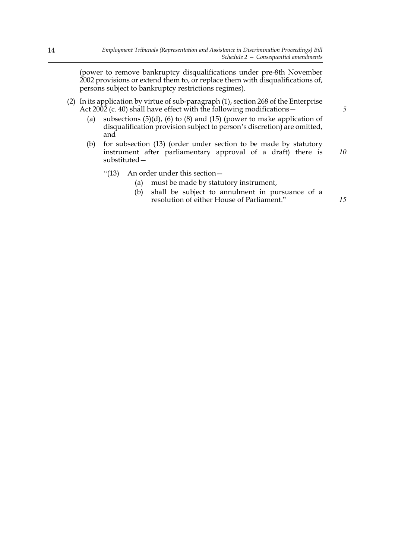(power to remove bankruptcy disqualifications under pre-8th November 2002 provisions or extend them to, or replace them with disqualifications of, persons subject to bankruptcy restrictions regimes).

- (2) In its application by virtue of sub-paragraph (1), section 268 of the Enterprise Act 2002 (c. 40) shall have effect with the following modifications—
	- (a) subsections  $(5)(d)$ ,  $(6)$  to  $(8)$  and  $(15)$  (power to make application of disqualification provision subject to person's discretion) are omitted, and
	- (b) for subsection (13) (order under section to be made by statutory instrument after parliamentary approval of a draft) there is substituted— *10*
		- "(13) An order under this section—
			- (a) must be made by statutory instrument,
			- (b) shall be subject to annulment in pursuance of a resolution of either House of Parliament."

*5*